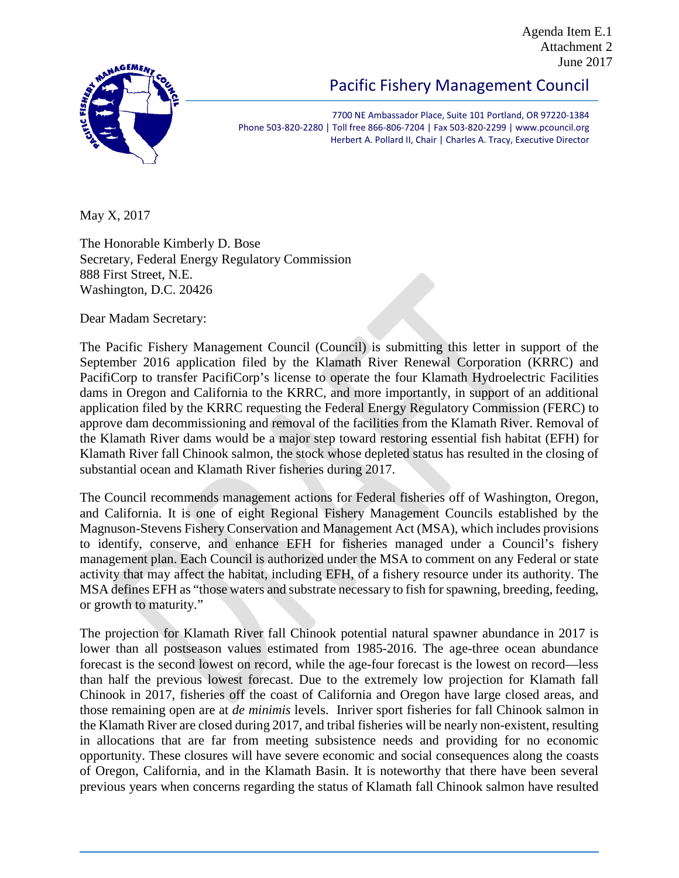Agenda Item E.1 Attachment 2 June 2017



Pacific Fishery Management Council

7700 NE Ambassador Place, Suite 101 Portland, OR 97220-1384 Phone 503-820-2280 | Toll free 866-806-7204 | Fax 503-820-2299 | www.pcouncil.org Herbert A. Pollard II, Chair | Charles A. Tracy, Executive Director

May X, 2017

The Honorable Kimberly D. Bose Secretary, Federal Energy Regulatory Commission 888 First Street, N.E. Washington, D.C. 20426

Dear Madam Secretary:

The Pacific Fishery Management Council (Council) is submitting this letter in support of the September 2016 application filed by the Klamath River Renewal Corporation (KRRC) and PacifiCorp to transfer PacifiCorp's license to operate the four Klamath Hydroelectric Facilities dams in Oregon and California to the KRRC, and more importantly, in support of an additional application filed by the KRRC requesting the Federal Energy Regulatory Commission (FERC) to approve dam decommissioning and removal of the facilities from the Klamath River. Removal of the Klamath River dams would be a major step toward restoring essential fish habitat (EFH) for Klamath River fall Chinook salmon, the stock whose depleted status has resulted in the closing of substantial ocean and Klamath River fisheries during 2017.

The Council recommends management actions for Federal fisheries off of Washington, Oregon, and California. It is one of eight Regional Fishery Management Councils established by the Magnuson-Stevens Fishery Conservation and Management Act (MSA), which includes provisions to identify, conserve, and enhance EFH for fisheries managed under a Council's fishery management plan. Each Council is authorized under the MSA to comment on any Federal or state activity that may affect the habitat, including EFH, of a fishery resource under its authority. The MSA defines EFH as "those waters and substrate necessary to fish for spawning, breeding, feeding, or growth to maturity."

The projection for Klamath River fall Chinook potential natural spawner abundance in 2017 is lower than all postseason values estimated from 1985-2016. The age-three ocean abundance forecast is the second lowest on record, while the age-four forecast is the lowest on record—less than half the previous lowest forecast. Due to the extremely low projection for Klamath fall Chinook in 2017, fisheries off the coast of California and Oregon have large closed areas, and those remaining open are at *de minimis* levels. Inriver sport fisheries for fall Chinook salmon in the Klamath River are closed during 2017, and tribal fisheries will be nearly non-existent, resulting in allocations that are far from meeting subsistence needs and providing for no economic opportunity. These closures will have severe economic and social consequences along the coasts of Oregon, California, and in the Klamath Basin. It is noteworthy that there have been several previous years when concerns regarding the status of Klamath fall Chinook salmon have resulted